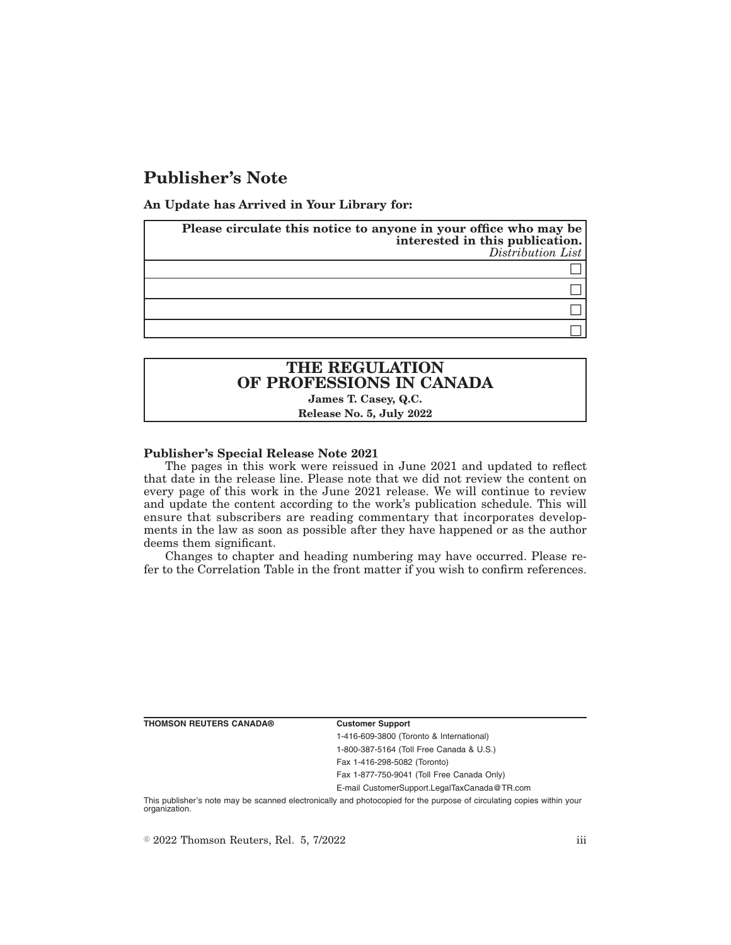# **Publisher's Note**

**An Update has Arrived in Your Library for:**

| Please circulate this notice to anyone in your office who may be<br>interested in this publication.<br>Distribution List |  |
|--------------------------------------------------------------------------------------------------------------------------|--|
|                                                                                                                          |  |
|                                                                                                                          |  |
|                                                                                                                          |  |
|                                                                                                                          |  |

# **THE REGULATION OF PROFESSIONS IN CANADA James T. Casey, Q.C.**

# **Release No. 5, July 2022**

### **Publisher's Special Release Note 2021**

The pages in this work were reissued in June 2021 and updated to reflect that date in the release line. Please note that we did not review the content on every page of this work in the June 2021 release. We will continue to review and update the content according to the work's publication schedule. This will ensure that subscribers are reading commentary that incorporates developments in the law as soon as possible after they have happened or as the author deems them significant.

Changes to chapter and heading numbering may have occurred. Please refer to the Correlation Table in the front matter if you wish to confirm references.

**THOMSON REUTERS CANADA® Customer Support**

1-416-609-3800 (Toronto & International) 1-800-387-5164 (Toll Free Canada & U.S.) Fax 1-416-298-5082 (Toronto)

Fax 1-877-750-9041 (Toll Free Canada Only)

E-mail CustomerSupport.LegalTaxCanada@TR.com

This publisher's note may be scanned electronically and photocopied for the purpose of circulating copies within your organization.

 $\degree$  2022 Thomson Reuters, Rel. 5, 7/2022 iii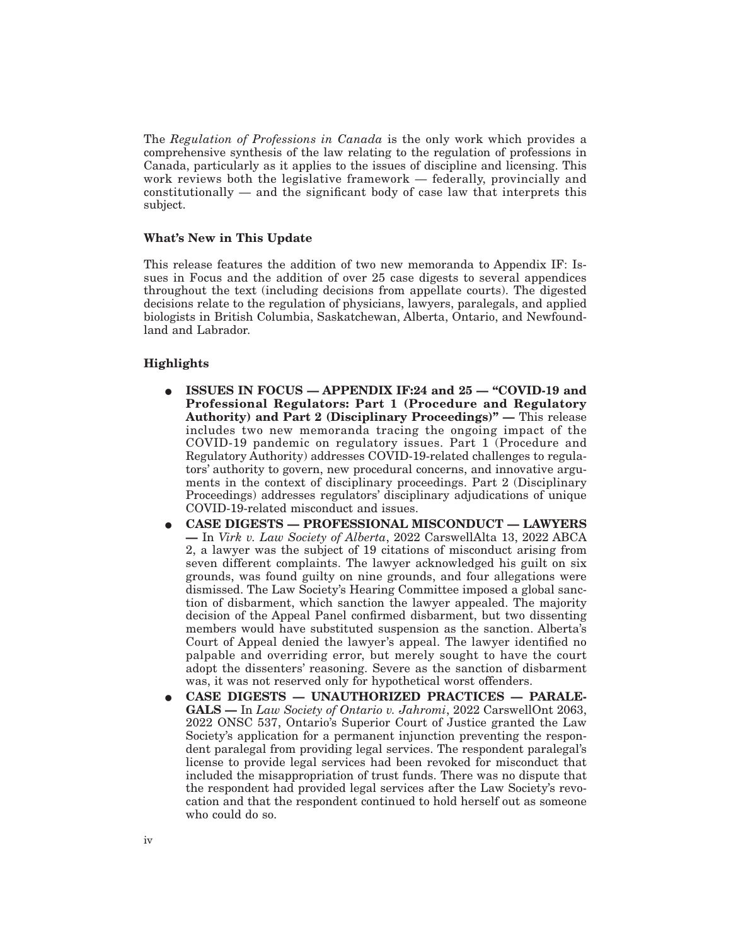The *Regulation of Professions in Canada* is the only work which provides a comprehensive synthesis of the law relating to the regulation of professions in Canada, particularly as it applies to the issues of discipline and licensing. This work reviews both the legislative framework — federally, provincially and  $\text{constitutionally}$  — and the significant body of case law that interprets this subject.

### **What's New in This Update**

This release features the addition of two new memoranda to Appendix IF: Issues in Focus and the addition of over 25 case digests to several appendices throughout the text (including decisions from appellate courts). The digested decisions relate to the regulation of physicians, lawyers, paralegals, and applied biologists in British Columbia, Saskatchewan, Alberta, Ontario, and Newfoundland and Labrador.

## **Highlights**

- E **ISSUES IN FOCUS APPENDIX IF:24 and 25 "COVID-19 and Professional Regulators: Part 1 (Procedure and Regulatory Authority) and Part 2 (Disciplinary Proceedings)" —** This release includes two new memoranda tracing the ongoing impact of the COVID-19 pandemic on regulatory issues. Part 1 (Procedure and Regulatory Authority) addresses COVID-19-related challenges to regulators' authority to govern, new procedural concerns, and innovative arguments in the context of disciplinary proceedings. Part 2 (Disciplinary Proceedings) addresses regulators' disciplinary adjudications of unique COVID-19-related misconduct and issues.
- E **CASE DIGESTS PROFESSIONAL MISCONDUCT LAWYERS —** In *Virk v. Law Society of Alberta*, 2022 CarswellAlta 13, 2022 ABCA 2, a lawyer was the subject of 19 citations of misconduct arising from seven different complaints. The lawyer acknowledged his guilt on six grounds, was found guilty on nine grounds, and four allegations were dismissed. The Law Society's Hearing Committee imposed a global sanction of disbarment, which sanction the lawyer appealed. The majority decision of the Appeal Panel confirmed disbarment, but two dissenting members would have substituted suspension as the sanction. Alberta's Court of Appeal denied the lawyer's appeal. The lawyer identified no palpable and overriding error, but merely sought to have the court adopt the dissenters' reasoning. Severe as the sanction of disbarment was, it was not reserved only for hypothetical worst offenders.
- E **CASE DIGESTS UNAUTHORIZED PRACTICES PARALE-GALS —** In *Law Society of Ontario v. Jahromi*, 2022 CarswellOnt 2063, 2022 ONSC 537, Ontario's Superior Court of Justice granted the Law Society's application for a permanent injunction preventing the respondent paralegal from providing legal services. The respondent paralegal's license to provide legal services had been revoked for misconduct that included the misappropriation of trust funds. There was no dispute that the respondent had provided legal services after the Law Society's revocation and that the respondent continued to hold herself out as someone who could do so.